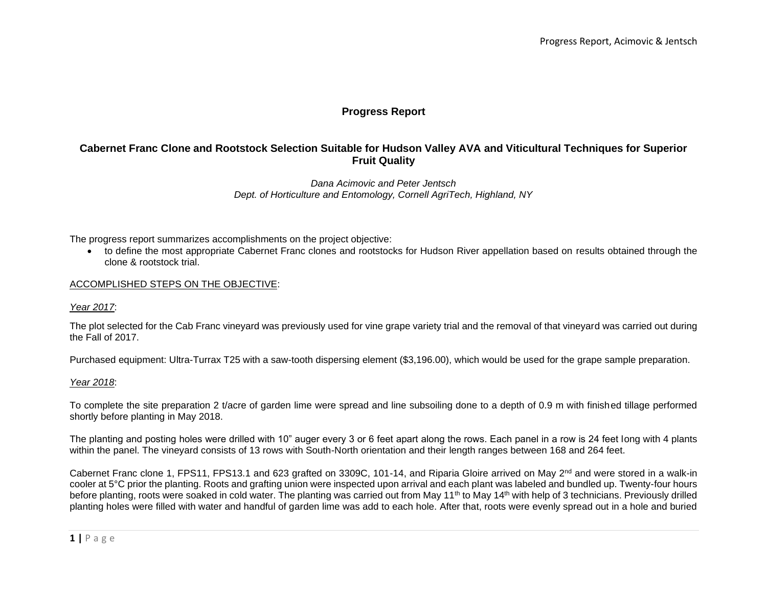# **Progress Report**

# **Cabernet Franc Clone and Rootstock Selection Suitable for Hudson Valley AVA and Viticultural Techniques for Superior Fruit Quality**

## *Dana Acimovic and Peter Jentsch Dept. of Horticulture and Entomology, Cornell AgriTech, Highland, NY*

The progress report summarizes accomplishments on the project objective:

• to define the most appropriate Cabernet Franc clones and rootstocks for Hudson River appellation based on results obtained through the clone & rootstock trial.

### ACCOMPLISHED STEPS ON THE OBJECTIVE:

#### *Year 2017*:

The plot selected for the Cab Franc vineyard was previously used for vine grape variety trial and the removal of that vineyard was carried out during the Fall of 2017.

Purchased equipment: Ultra-Turrax T25 with a saw-tooth dispersing element (\$3,196.00), which would be used for the grape sample preparation.

### *Year 2018*:

To complete the site preparation 2 t/acre of garden lime were spread and line subsoiling done to a depth of 0.9 m with finished tillage performed shortly before planting in May 2018.

The planting and posting holes were drilled with 10" auger every 3 or 6 feet apart along the rows. Each panel in a row is 24 feet long with 4 plants within the panel. The vineyard consists of 13 rows with South-North orientation and their length ranges between 168 and 264 feet.

Cabernet Franc clone 1, FPS11, FPS13.1 and 623 grafted on 3309C, 101-14, and Riparia Gloire arrived on May  $2^{nd}$  and were stored in a walk-in cooler at 5°C prior the planting. Roots and grafting union were inspected upon arrival and each plant was labeled and bundled up. Twenty-four hours before planting, roots were soaked in cold water. The planting was carried out from May 11<sup>th</sup> to May 14<sup>th</sup> with help of 3 technicians. Previously drilled planting holes were filled with water and handful of garden lime was add to each hole. After that, roots were evenly spread out in a hole and buried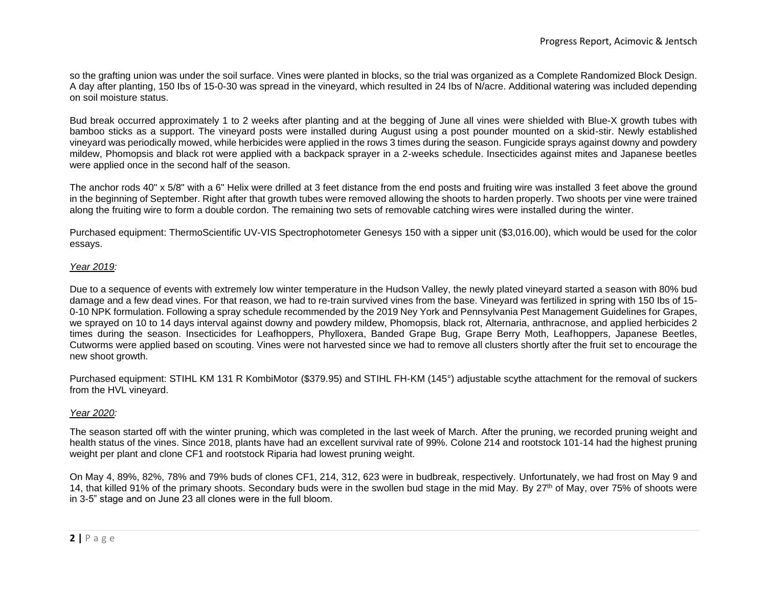so the grafting union was under the soil surface. Vines were planted in blocks, so the trial was organized as a Complete Randomized Block Design. A day after planting, 150 Ibs of 15-0-30 was spread in the vineyard, which resulted in 24 Ibs of N/acre. Additional watering was included depending on soil moisture status.

Bud break occurred approximately 1 to 2 weeks after planting and at the begging of June all vines were shielded with Blue-X growth tubes with bamboo sticks as a support. The vineyard posts were installed during August using a post pounder mounted on a skid-stir. Newly established vineyard was periodically mowed, while herbicides were applied in the rows 3 times during the season. Fungicide sprays against downy and powdery mildew, Phomopsis and black rot were applied with a backpack sprayer in a 2-weeks schedule. Insecticides against mites and Japanese beetles were applied once in the second half of the season.

The anchor rods 40" x 5/8" with a 6" Helix were drilled at 3 feet distance from the end posts and fruiting wire was installed 3 feet above the ground in the beginning of September. Right after that growth tubes were removed allowing the shoots to harden properly. Two shoots per vine were trained along the fruiting wire to form a double cordon. The remaining two sets of removable catching wires were installed during the winter.

Purchased equipment: ThermoScientific UV-VIS Spectrophotometer Genesys 150 with a sipper unit (\$3,016.00), which would be used for the color essays.

### *Year 2019:*

Due to a sequence of events with extremely low winter temperature in the Hudson Valley, the newly plated vineyard started a season with 80% bud damage and a few dead vines. For that reason, we had to re-train survived vines from the base. Vineyard was fertilized in spring with 150 Ibs of 15- 0-10 NPK formulation. Following a spray schedule recommended by the 2019 Ney York and Pennsylvania Pest Management Guidelines for Grapes, we sprayed on 10 to 14 days interval against downy and powdery mildew, Phomopsis, black rot, Alternaria, anthracnose, and applied herbicides 2 times during the season. Insecticides for Leafhoppers, Phylloxera, Banded Grape Bug, Grape Berry Moth, Leafhoppers, Japanese Beetles, Cutworms were applied based on scouting. Vines were not harvested since we had to remove all clusters shortly after the fruit set to encourage the new shoot growth.

Purchased equipment: STIHL KM 131 R KombiMotor (\$379.95) and STIHL FH-KM (145°) adjustable scythe attachment for the removal of suckers from the HVL vineyard.

## *Year 2020:*

The season started off with the winter pruning, which was completed in the last week of March. After the pruning, we recorded pruning weight and health status of the vines. Since 2018, plants have had an excellent survival rate of 99%. Colone 214 and rootstock 101-14 had the highest pruning weight per plant and clone CF1 and rootstock Riparia had lowest pruning weight.

On May 4, 89%, 82%, 78% and 79% buds of clones CF1, 214, 312, 623 were in budbreak, respectively. Unfortunately, we had frost on May 9 and 14, that killed 91% of the primary shoots. Secondary buds were in the swollen bud stage in the mid May. By 27<sup>th</sup> of May, over 75% of shoots were in 3-5" stage and on June 23 all clones were in the full bloom.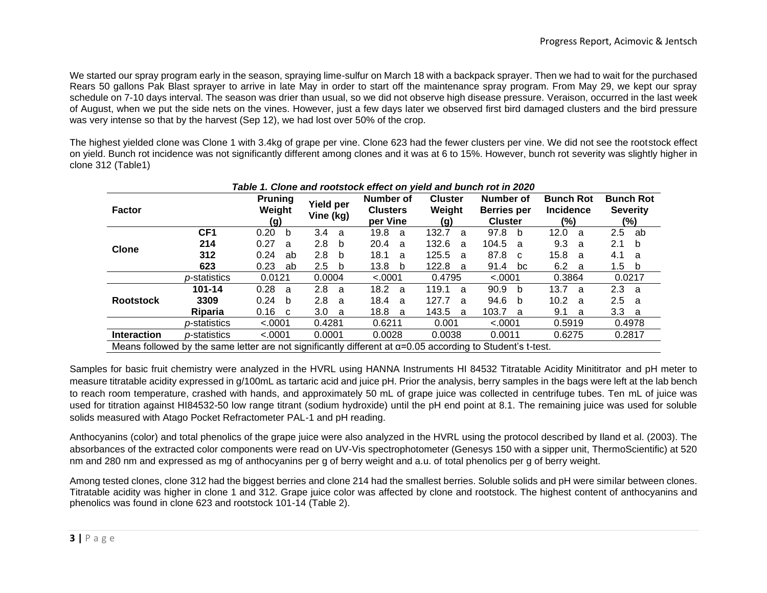We started our spray program early in the season, spraying lime-sulfur on March 18 with a backpack sprayer. Then we had to wait for the purchased Rears 50 gallons Pak Blast sprayer to arrive in late May in order to start off the maintenance spray program. From May 29, we kept our spray schedule on 7-10 days interval. The season was drier than usual, so we did not observe high disease pressure. Veraison, occurred in the last week of August, when we put the side nets on the vines. However, just a few days later we observed first bird damaged clusters and the bird pressure was very intense so that by the harvest (Sep 12), we had lost over 50% of the crop.

The highest yielded clone was Clone 1 with 3.4kg of grape per vine. Clone 623 had the fewer clusters per vine. We did not see the rootstock effect on yield. Bunch rot incidence was not significantly different among clones and it was at 6 to 15%. However, bunch rot severity was slightly higher in clone 312 (Table1)

| i abie 1. Cione and rootstock effect on vield and bunch rot in 2020                                                |                      |                                 |                               |                                          |                                 |                                            |                                             |                                            |  |  |
|--------------------------------------------------------------------------------------------------------------------|----------------------|---------------------------------|-------------------------------|------------------------------------------|---------------------------------|--------------------------------------------|---------------------------------------------|--------------------------------------------|--|--|
| <b>Factor</b>                                                                                                      |                      | <b>Pruning</b><br>Weight<br>(g) | <b>Yield per</b><br>Vine (kg) | Number of<br><b>Clusters</b><br>per Vine | <b>Cluster</b><br>Weight<br>(g) | Number of<br>Berries per<br><b>Cluster</b> | <b>Bunch Rot</b><br><b>Incidence</b><br>(%) | <b>Bunch Rot</b><br><b>Severity</b><br>(%) |  |  |
| <b>Clone</b>                                                                                                       | CF <sub>1</sub>      | 0.20<br>b                       | 3.4<br>a                      | 19.8<br>a                                | 132.7<br>a                      | 97.8<br>b                                  | 12.0<br>a                                   | 2.5<br>ab                                  |  |  |
|                                                                                                                    | 214                  | 0.27<br>a                       | 2.8<br>b                      | 20.4<br>a                                | 132.6<br>a                      | 104.5<br>- a                               | 9.3<br>- a                                  | 2.1<br>b                                   |  |  |
|                                                                                                                    | 312                  | 0.24<br>ab                      | 2.8<br><sub>b</sub>           | 18.1<br>a                                | 125.5<br>a                      | 87.8<br>C.                                 | 15.8<br>- a                                 | 4.1<br>a                                   |  |  |
|                                                                                                                    | 623                  | 0.23<br>ab                      | $2.5^{\circ}$<br>b            | 13.8<br>b                                | 122.8<br>a                      | 91.4<br>bc                                 | 6.2 a                                       | 1.5<br>b                                   |  |  |
|                                                                                                                    | p-statistics         | 0.0121                          | 0.0004<br>< .0001             |                                          | 0.4795<br>< .0001               |                                            | 0.3864                                      | 0.0217                                     |  |  |
|                                                                                                                    | $101 - 14$           | 0.28<br>a                       | 2.8<br>a                      | 18.2<br><sub>a</sub>                     | 119.1<br>a                      | 90.9<br>b                                  | 13.7<br>- a                                 | 2.3<br>- a                                 |  |  |
| <b>Rootstock</b>                                                                                                   | 3309                 | 0.24<br>b                       | 2.8<br>a                      | 18.4<br>a                                | 127.7<br>a                      | 94.6<br>b                                  | 10.2<br>- a                                 | $2.5\,$<br>a                               |  |  |
|                                                                                                                    | <b>Riparia</b>       | 0.16<br>C <sub>c</sub>          | 3.0<br>a                      | 18.8<br>- a                              | 143.5<br>a                      | 103.7<br>a                                 | 9.1<br>- a                                  | 3.3<br>- a                                 |  |  |
|                                                                                                                    | <i>p</i> -statistics | < .0001                         | 0.4281                        | 0.6211                                   | 0.001                           | < .0001                                    | 0.5919                                      | 0.4978                                     |  |  |
| <b>Interaction</b>                                                                                                 | <i>p</i> -statistics | < .0001                         | 0.0001                        | 0.0028                                   | 0.0038                          | 0.0011                                     | 0.6275                                      | 0.2817                                     |  |  |
| Means followed by the same letter are not significantly different at $\alpha$ =0.05 according to Student's t-test. |                      |                                 |                               |                                          |                                 |                                            |                                             |                                            |  |  |

# *Table 1. Clone and rootstock effect on yield and bunch rot in 2020*

Samples for basic fruit chemistry were analyzed in the HVRL using HANNA Instruments HI 84532 Titratable Acidity Minititrator and pH meter to measure titratable acidity expressed in g/100mL as tartaric acid and juice pH. Prior the analysis, berry samples in the bags were left at the lab bench to reach room temperature, crashed with hands, and approximately 50 mL of grape juice was collected in centrifuge tubes. Ten mL of juice was used for titration against HI84532-50 low range titrant (sodium hydroxide) until the pH end point at 8.1. The remaining juice was used for soluble solids measured with Atago Pocket Refractometer PAL-1 and pH reading.

Anthocyanins (color) and total phenolics of the grape juice were also analyzed in the HVRL using the protocol described by Iland et al. (2003). The absorbances of the extracted color components were read on UV-Vis spectrophotometer (Genesys 150 with a sipper unit, ThermoScientific) at 520 nm and 280 nm and expressed as mg of anthocyanins per g of berry weight and a.u. of total phenolics per g of berry weight.

Among tested clones, clone 312 had the biggest berries and clone 214 had the smallest berries. Soluble solids and pH were similar between clones. Titratable acidity was higher in clone 1 and 312. Grape juice color was affected by clone and rootstock. The highest content of anthocyanins and phenolics was found in clone 623 and rootstock 101-14 (Table 2).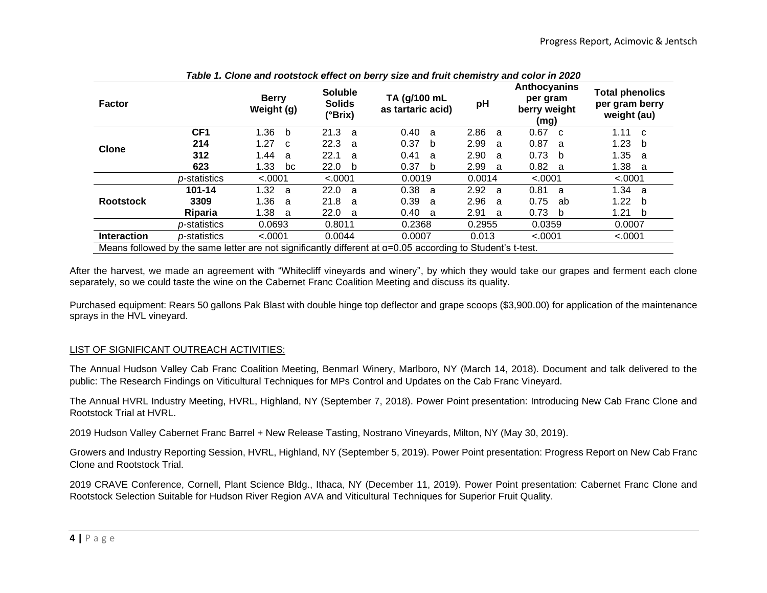| <b>Factor</b>                                                                                                      |                      | <b>Berry</b><br>Weight (g) | <b>Soluble</b><br><b>Solids</b><br>(°Brix) | TA (g/100 mL<br>as tartaric acid) | pH          | <b>Anthocyanins</b><br>per gram<br>berry weight<br>(mg) | <b>Total phenolics</b><br>per gram berry<br>weight (au) |  |  |
|--------------------------------------------------------------------------------------------------------------------|----------------------|----------------------------|--------------------------------------------|-----------------------------------|-------------|---------------------------------------------------------|---------------------------------------------------------|--|--|
| <b>Clone</b>                                                                                                       | CF <sub>1</sub>      | 1.36<br>b                  | 21.3<br>a                                  | 0.40<br>a                         | 2.86<br>- a | $0.67 \quad c$                                          | 1.11<br>$\mathbf{C}$                                    |  |  |
|                                                                                                                    | 214                  | 1.27<br>C <sub>c</sub>     | 22.3<br>a                                  | 0.37<br>b                         | 2.99<br>a   | 0.87<br>- a                                             | 1.23<br>b                                               |  |  |
|                                                                                                                    | 312                  | 1.44<br>a                  | 22.1<br>a                                  | 0.41<br>a                         | 2.90<br>a   | 0.73<br>$\mathbf{b}$                                    | 1.35<br>-a                                              |  |  |
|                                                                                                                    | 623                  | 1.33<br>bc                 | 22.0<br>b                                  | 0.37<br>b                         | 2.99<br>- a | 0.82 a                                                  | 1.38<br>a                                               |  |  |
|                                                                                                                    | p-statistics         | < .0001                    | < .0001                                    | 0.0019                            | 0.0014      | < .0001                                                 | < .0001                                                 |  |  |
|                                                                                                                    | $101 - 14$           | 1.32<br>- a                | 22.0<br>a                                  | 0.38<br>a                         | 2.92<br>- a | 0.81<br>- a                                             | 1.34<br>a,                                              |  |  |
| <b>Rootstock</b>                                                                                                   | 3309                 | 1.36<br>- a                | 21.8<br>a                                  | 0.39<br>a                         | 2.96<br>- a | 0.75<br>ab                                              | 1.22<br>b                                               |  |  |
|                                                                                                                    | Riparia              | 1.38<br>- a                | 22.0<br>a                                  | 0.40<br>a                         | 2.91<br>- a | 0.73<br>- b                                             | 1.21<br>b                                               |  |  |
|                                                                                                                    | <i>p</i> -statistics | 0.0693                     | 0.8011                                     | 0.2368                            | 0.2955      | 0.0359                                                  | 0.0007                                                  |  |  |
| <b>Interaction</b>                                                                                                 | <i>p</i> -statistics | < .0001                    | 0.0044                                     | 0.0007                            | 0.013       | < .0001                                                 | < .0001                                                 |  |  |
| Means followed by the same letter are not significantly different at $\alpha$ =0.05 according to Student's t-test. |                      |                            |                                            |                                   |             |                                                         |                                                         |  |  |

*Table 1. Clone and rootstock effect on berry size and fruit chemistry and color in 2020*

After the harvest, we made an agreement with "Whitecliff vineyards and winery", by which they would take our grapes and ferment each clone separately, so we could taste the wine on the Cabernet Franc Coalition Meeting and discuss its quality.

Purchased equipment: Rears 50 gallons Pak Blast with double hinge top deflector and grape scoops (\$3,900.00) for application of the maintenance sprays in the HVL vineyard.

## LIST OF SIGNIFICANT OUTREACH ACTIVITIES:

The Annual Hudson Valley Cab Franc Coalition Meeting, Benmarl Winery, Marlboro, NY (March 14, 2018). Document and talk delivered to the public: The Research Findings on Viticultural Techniques for MPs Control and Updates on the Cab Franc Vineyard.

The Annual HVRL Industry Meeting, HVRL, Highland, NY (September 7, 2018). Power Point presentation: Introducing New Cab Franc Clone and Rootstock Trial at HVRL.

2019 Hudson Valley Cabernet Franc Barrel + New Release Tasting, Nostrano Vineyards, Milton, NY (May 30, 2019).

Growers and Industry Reporting Session, HVRL, Highland, NY (September 5, 2019). Power Point presentation: Progress Report on New Cab Franc Clone and Rootstock Trial.

2019 CRAVE Conference, Cornell, Plant Science Bldg., Ithaca, NY (December 11, 2019). Power Point presentation: Cabernet Franc Clone and Rootstock Selection Suitable for Hudson River Region AVA and Viticultural Techniques for Superior Fruit Quality.